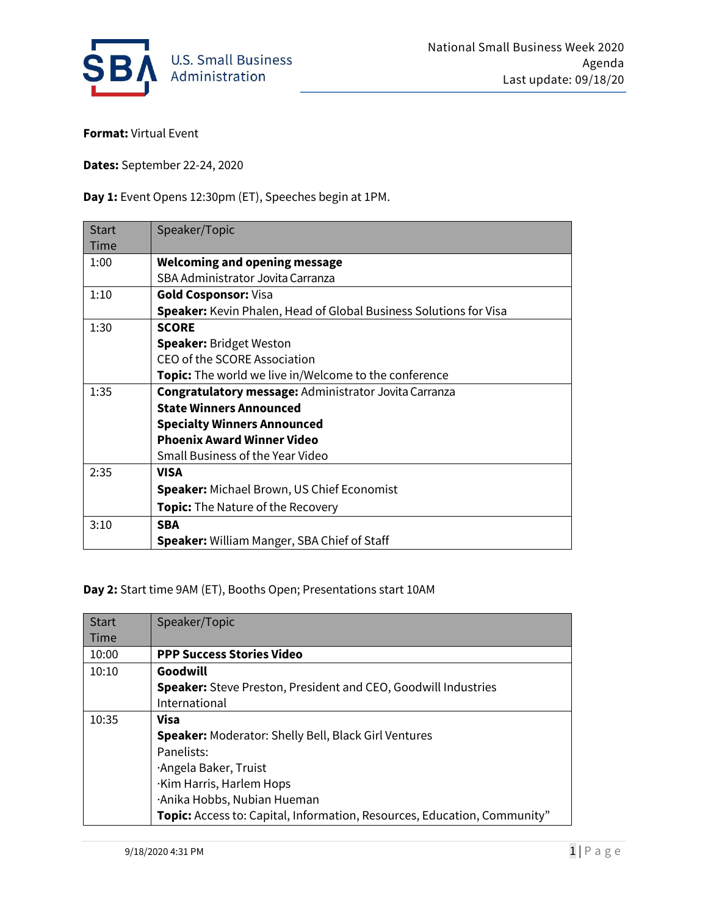

**Format:** Virtual Event

**Dates:** September 22-24, 2020

**Day 1:** Event Opens 12:30pm (ET), Speeches begin at 1PM.

| <b>Start</b><br><b>Time</b> | Speaker/Topic                                                            |
|-----------------------------|--------------------------------------------------------------------------|
| 1:00                        | <b>Welcoming and opening message</b>                                     |
|                             | SBA Administrator Jovita Carranza                                        |
| 1:10                        | <b>Gold Cosponsor: Visa</b>                                              |
|                             | <b>Speaker:</b> Kevin Phalen, Head of Global Business Solutions for Visa |
| 1:30                        | <b>SCORE</b>                                                             |
|                             | <b>Speaker: Bridget Weston</b>                                           |
|                             | CEO of the SCORE Association                                             |
|                             | <b>Topic:</b> The world we live in/Welcome to the conference             |
| 1:35                        | <b>Congratulatory message: Administrator Jovita Carranza</b>             |
|                             | <b>State Winners Announced</b>                                           |
|                             | <b>Specialty Winners Announced</b>                                       |
|                             | <b>Phoenix Award Winner Video</b>                                        |
|                             | Small Business of the Year Video                                         |
| 2:35                        | <b>VISA</b>                                                              |
|                             | <b>Speaker:</b> Michael Brown, US Chief Economist                        |
|                             | <b>Topic:</b> The Nature of the Recovery                                 |
| 3:10                        | <b>SBA</b>                                                               |
|                             | <b>Speaker:</b> William Manger, SBA Chief of Staff                       |

**Day 2:** Start time 9AM (ET), Booths Open; Presentations start 10AM

| <b>Start</b> | Speaker/Topic                                                                   |
|--------------|---------------------------------------------------------------------------------|
| <b>Time</b>  |                                                                                 |
| 10:00        | <b>PPP Success Stories Video</b>                                                |
| 10:10        | Goodwill                                                                        |
|              | <b>Speaker:</b> Steve Preston, President and CEO, Goodwill Industries           |
|              | International                                                                   |
| 10:35        | Visa                                                                            |
|              | <b>Speaker: Moderator: Shelly Bell, Black Girl Ventures</b>                     |
|              | Panelists:                                                                      |
|              | ·Angela Baker, Truist                                                           |
|              | ·Kim Harris, Harlem Hops                                                        |
|              | ·Anika Hobbs, Nubian Hueman                                                     |
|              | <b>Topic:</b> Access to: Capital, Information, Resources, Education, Community" |